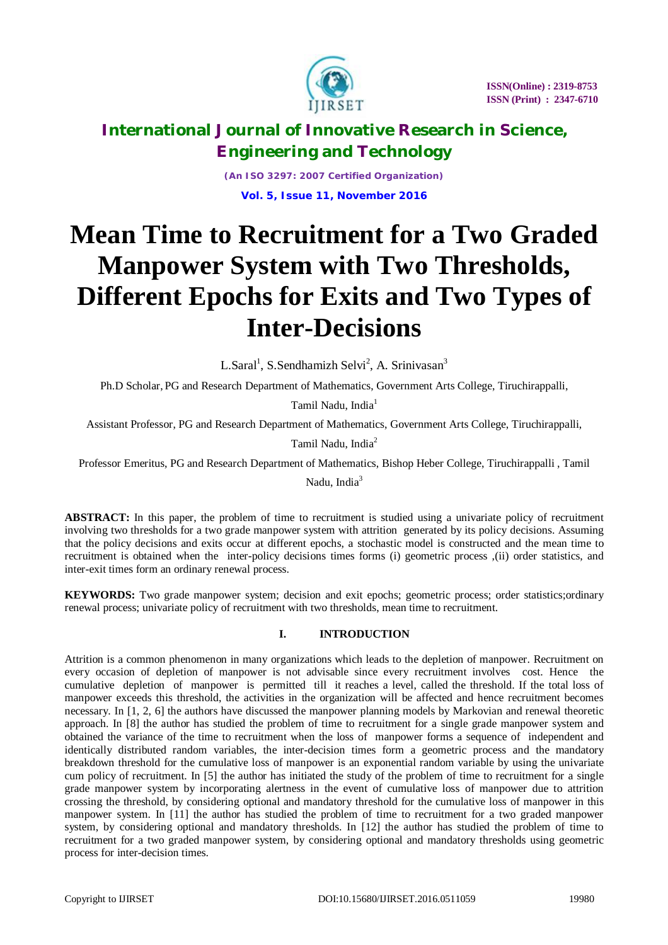

*(An ISO 3297: 2007 Certified Organization)* **Vol. 5, Issue 11, November 2016**

# **Mean Time to Recruitment for a Two Graded Manpower System with Two Thresholds, Different Epochs for Exits and Two Types of Inter-Decisions**

L.Saral<sup>1</sup>, S.Sendhamizh Selvi<sup>2</sup>, A. Srinivasan<sup>3</sup>

Ph.D Scholar, PG and Research Department of Mathematics, Government Arts College, Tiruchirappalli,

Tamil Nadu, India<sup>1</sup>

Assistant Professor, PG and Research Department of Mathematics, Government Arts College, Tiruchirappalli,

Tamil Nadu, India<sup>2</sup>

Professor Emeritus, PG and Research Department of Mathematics, Bishop Heber College, Tiruchirappalli , Tamil

Nadu, Indi $a^3$ 

**ABSTRACT:** In this paper, the problem of time to recruitment is studied using a univariate policy of recruitment involving two thresholds for a two grade manpower system with attrition generated by its policy decisions. Assuming that the policy decisions and exits occur at different epochs, a stochastic model is constructed and the mean time to recruitment is obtained when the inter-policy decisions times forms (i) geometric process ,(ii) order statistics, and inter-exit times form an ordinary renewal process.

**KEYWORDS:** Two grade manpower system; decision and exit epochs; geometric process; order statistics;ordinary renewal process; univariate policy of recruitment with two thresholds, mean time to recruitment.

### **I. INTRODUCTION**

Attrition is a common phenomenon in many organizations which leads to the depletion of manpower. Recruitment on every occasion of depletion of manpower is not advisable since every recruitment involves cost. Hence the cumulative depletion of manpower is permitted till it reaches a level, called the threshold. If the total loss of manpower exceeds this threshold, the activities in the organization will be affected and hence recruitment becomes necessary. In [1, 2, 6] the authors have discussed the manpower planning models by Markovian and renewal theoretic approach. In [8] the author has studied the problem of time to recruitment for a single grade manpower system and obtained the variance of the time to recruitment when the loss of manpower forms a sequence of independent and identically distributed random variables, the inter-decision times form a geometric process and the mandatory breakdown threshold for the cumulative loss of manpower is an exponential random variable by using the univariate cum policy of recruitment. In [5] the author has initiated the study of the problem of time to recruitment for a single grade manpower system by incorporating alertness in the event of cumulative loss of manpower due to attrition crossing the threshold, by considering optional and mandatory threshold for the cumulative loss of manpower in this manpower system. In [11] the author has studied the problem of time to recruitment for a two graded manpower system, by considering optional and mandatory thresholds. In [12] the author has studied the problem of time to recruitment for a two graded manpower system, by considering optional and mandatory thresholds using geometric process for inter-decision times.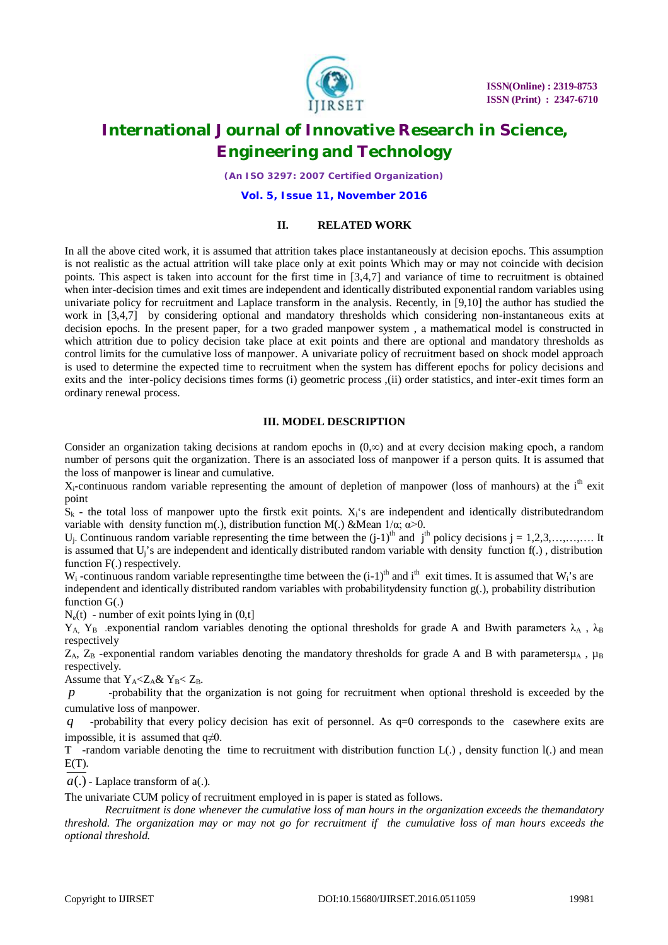

 **ISSN(Online) : 2319-8753 ISSN (Print) : 2347-6710**

# **International Journal of Innovative Research in Science, Engineering and Technology**

*(An ISO 3297: 2007 Certified Organization)*

**Vol. 5, Issue 11, November 2016**

#### **II. RELATED WORK**

In all the above cited work, it is assumed that attrition takes place instantaneously at decision epochs. This assumption is not realistic as the actual attrition will take place only at exit points Which may or may not coincide with decision points. This aspect is taken into account for the first time in [3,4,7] and variance of time to recruitment is obtained when inter-decision times and exit times are independent and identically distributed exponential random variables using univariate policy for recruitment and Laplace transform in the analysis. Recently, in [9,10] the author has studied the work in [3,4,7] by considering optional and mandatory thresholds which considering non-instantaneous exits at decision epochs. In the present paper, for a two graded manpower system , a mathematical model is constructed in which attrition due to policy decision take place at exit points and there are optional and mandatory thresholds as control limits for the cumulative loss of manpower. A univariate policy of recruitment based on shock model approach is used to determine the expected time to recruitment when the system has different epochs for policy decisions and exits and the inter-policy decisions times forms (i) geometric process ,(ii) order statistics, and inter-exit times form an ordinary renewal process.

#### **III. MODEL DESCRIPTION**

Consider an organization taking decisions at random epochs in  $(0, \infty)$  and at every decision making epoch, a random number of persons quit the organization. There is an associated loss of manpower if a person quits. It is assumed that the loss of manpower is linear and cumulative.

 $X_i$ -continuous random variable representing the amount of depletion of manpower (loss of manhours) at the  $i<sup>th</sup>$  exit point

 $S_k$  - the total loss of manpower upto the firstk exit points.  $X_i$ 's are independent and identically distributedrandom variable with density function m(.), distribution function M(.) & Mean  $1/\alpha$ ;  $\alpha > 0$ .

 $U_i$ - Continuous random variable representing the time between the  $(j-1)$ <sup>th</sup> and j<sup>th</sup> policy decisions j = 1,2,3,...,...,..... It is assumed that Uj's are independent and identically distributed random variable with density function f(.) , distribution function F(.) respectively.

 $W_i$ -continuous random variable representing the time between the  $(i-1)$ <sup>th</sup> and i<sup>th</sup> exit times. It is assumed that  $W_i$ 's are independent and identically distributed random variables with probabilitydensity function g(.), probability distribution function G(.)

 $N_e(t)$  - number of exit points lying in  $(0,t]$ 

 $Y_A$ ,  $Y_B$  exponential random variables denoting the optional thresholds for grade A and Bwith parameters  $\lambda_A$ ,  $\lambda_B$ respectively

 $Z_A$ ,  $Z_B$  -exponential random variables denoting the mandatory thresholds for grade A and B with parameters $\mu_A$ ,  $\mu_B$ respectively.

Assume that  $Y_A < Z_A \& Y_B < Z_B$ .

*p* -probability that the organization is not going for recruitment when optional threshold is exceeded by the cumulative loss of manpower.

*q* -probability that every policy decision has exit of personnel. As q=0 corresponds to the casewhere exits are impossible, it is assumed that  $q\neq 0$ .

T -random variable denoting the time to recruitment with distribution function L(.) , density function l(.) and mean  $E(T)$ .

 $a(.)$  - Laplace transform of  $a(.)$ .

The univariate CUM policy of recruitment employed in is paper is stated as follows.

*Recruitment is done whenever the cumulative loss of man hours in the organization exceeds the themandatory threshold. The organization may or may not go for recruitment if the cumulative loss of man hours exceeds the optional threshold.*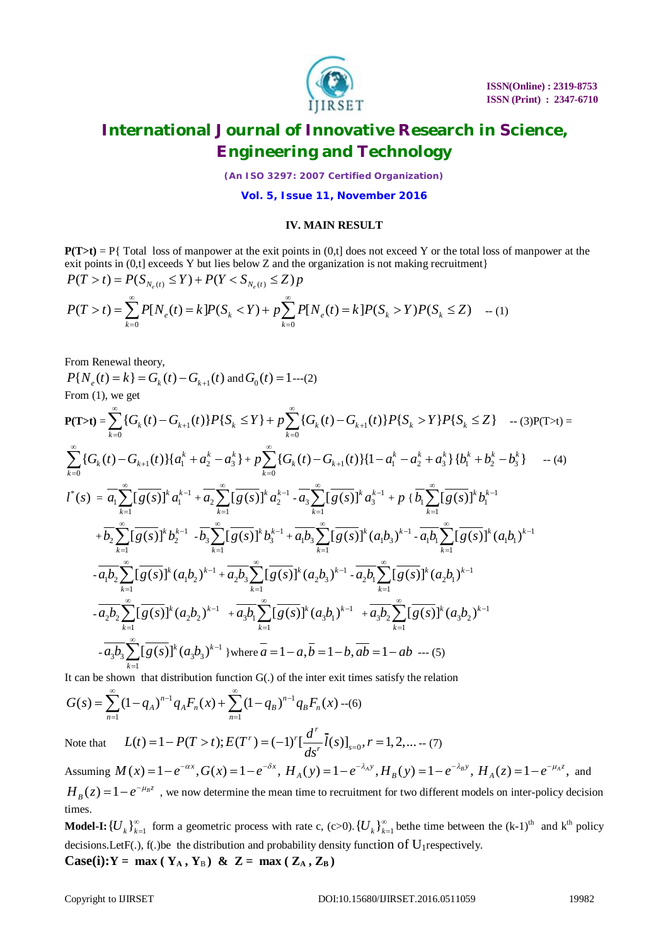

*(An ISO 3297: 2007 Certified Organization)*

**Vol. 5, Issue 11, November 2016**

#### **IV. MAIN RESULT**

 $P(T>t) = P\{Total loss of manpower at the exit points in (0,t] does not exceed Y or the total loss of manpower at the$ exit points in  $(0,t]$  exceeds Y but lies below Z and the organization is not making recruitment $\}$  $P(T > t) = P(S_{N_e(t)} \le Y) + P(Y < S_{N_e(t)} \le Z) p$ 

$$
P(T > t) = \sum_{k=0}^{\infty} P[N_e(t) = k] P(S_k < Y) + p \sum_{k=0}^{\infty} P[N_e(t) = k] P(S_k > Y) P(S_k \le Z) \quad -(1)
$$

From Renewal theory,

 $P\{N_e(t) = k\} = G_k(t) - G_{k+1}(t)$  and  $G_0(t) = 1$ ---(2) From (1), we get

$$
P(T>t) = \sum_{k=0}^{\infty} \{G_k(t) - G_{k+1}(t)\} P\{S_k \le Y\} + p \sum_{k=0}^{\infty} \{G_k(t) - G_{k+1}(t)\} P\{S_k > Y\} P\{S_k \le Z\} - (3)P(T>t) =
$$
\n
$$
\sum_{k=0}^{\infty} \{G_k(t) - G_{k+1}(t)\} \{a_1^k + a_2^k - a_3^k\} + p \sum_{k=0}^{\infty} \{G_k(t) - G_{k+1}(t)\} \{1 - a_1^k - a_2^k + a_3^k\} \{b_1^k + b_2^k - b_3^k\} - (4)
$$
\n
$$
I^*(s) = \overline{a_1} \sum_{k=1}^{\infty} \left[\overline{g(s)}\right]^k a_1^{k-1} + \overline{a_2} \sum_{k=1}^{\infty} \left[\overline{g(s)}\right]^k a_2^{k-1} - \overline{a_3} \sum_{k=1}^{\infty} \left[\overline{g(s)}\right]^k a_3^{k-1} + p \{b_1 \sum_{k=1}^{\infty} \left[\overline{g(s)}\right]^k b_1^{k-1} + \overline{b_2} \sum_{k=1}^{\infty} \left[\overline{g(s)}\right]^k b_2^{k-1} - \overline{b_3} \sum_{k=1}^{\infty} \left[\overline{g(s)}\right]^k b_3^{k-1} + \overline{a_1} b_3 \sum_{k=1}^{\infty} \left[\overline{g(s)}\right]^k (a_1 b_3)^{k-1} - \overline{a_1} b_1 \sum_{k=1}^{\infty} \left[\overline{g(s)}\right]^k (a_1 b_1)^{k-1}
$$
\n
$$
-\overline{a_1} b_2 \sum_{k=1}^{\infty} \left[\overline{g(s)}\right]^k (a_1 b_2)^{k-1} + \overline{a_2} b_3 \sum_{k=1}^{\infty} \left[\overline{g(s)}\right]^k (a_2 b_3)^{k-1} - \overline{a_2} b_1 \sum_{k=1}^{\infty} \left[\overline{g(s)}\right]^k (a_2 b_1)^{k-1}
$$

It can be shown that distribution function G(.) of the inter exit times satisfy the relation

$$
G(s) = \sum_{n=1}^{\infty} (1 - q_A)^{n-1} q_A F_n(x) + \sum_{n=1}^{\infty} (1 - q_B)^{n-1} q_B F_n(x) \cdots (6)
$$

Note that  $L(t) = 1 - P(T > t); E(T^r) = (-1)^r \left[ \frac{d}{dx} l(s) \right]_{s=0}, r = 1, 2, ...$  $r_{\lambda} = c_1 r r f$  $r^{(\nu)}$ <sup>s</sup>  $L(t) = 1 - P(T > t); E(T^r) = (-1)^r \left[ \frac{d^r}{ds^r} \overline{l}(s) \right]_{s=0}, r = 1, 2, \dots - (7)$ 

Assuming  $M(x) = 1 - e^{-\alpha x}$ ,  $G(x) = 1 - e^{-\delta x}$ ,  $H_A(y) = 1 - e^{-\lambda_A y}$ ,  $H_B(y) = 1 - e^{-\lambda_B y}$ ,  $H_A(z) = 1 - e^{-\mu_A z}$ , and  $H_B(z) = 1 - e^{-\mu_B z}$ , we now determine the mean time to recruitment for two different models on inter-policy decision times.

 $\mathbf{Model\text{-}I:}\left\{ \overline{U}_{k}\right\} _{k=1}^{\infty}$ form a geometric process with rate c, (c>0).  $\{U_k\}_{k=1}^{\infty}$  $\sum_{n=1}^{\infty}$  bethe time between the  $(k-1)$ <sup>th</sup> and  $k$ <sup>th</sup> policy decisions. LetF(.),  $f(.)$  be the distribution and probability density function of  $U_1$ respectively. **Case(i):Y** = max ( $Y_A$ ,  $Y_B$ ) & Z = max ( $Z_A$ ,  $Z_B$ )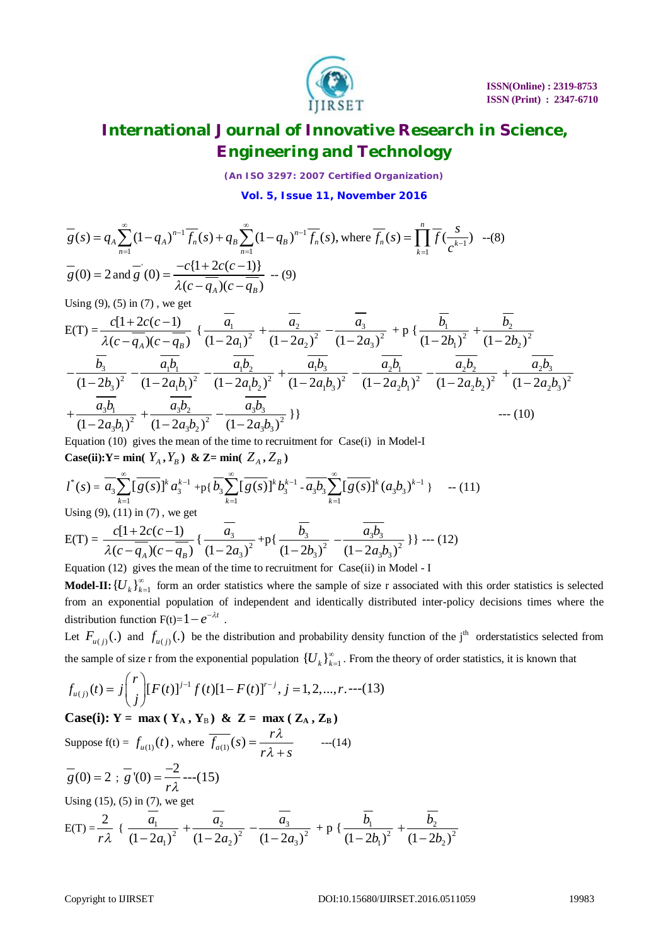

*(An ISO 3297: 2007 Certified Organization)*

**Vol. 5, Issue 11, November 2016**

$$
\overline{g}(s) = q_A \sum_{n=1}^{\infty} (1 - q_A)^{n-1} \overline{f_n}(s) + q_B \sum_{n=1}^{\infty} (1 - q_B)^{n-1} \overline{f_n}(s), \text{ where } \overline{f_n}(s) = \prod_{k=1}^{n} \overline{f}(\frac{s}{c^{k-1}}) \quad -(8)
$$
  

$$
\overline{g}(0) = 2 \text{ and } \overline{g}'(0) = \frac{-c\{1 + 2c(c-1)\}}{\lambda(c - \overline{q_A})(c - \overline{q_B})} \quad -(9)
$$

Using  $(9)$ ,  $(5)$  in  $(7)$ , we get

$$
E(T) = \frac{c[1+2c(c-1)]}{\lambda(c-\overline{q_A})(c-\overline{q_B})} \left\{ \frac{\overline{a_1}}{(1-2a_1)^2} + \frac{\overline{a_2}}{(1-2a_2)^2} - \frac{\overline{a_3}}{(1-2a_3)^2} + p \left\{ \frac{\overline{b_1}}{(1-2b_1)^2} + \frac{\overline{b_2}}{(1-2b_2)^2} - \frac{\overline{b_3}}{(1-2b_3)^2} - \frac{\overline{a_1b_1}}{(1-2a_1b_1)^2} - \frac{\overline{a_1b_2}}{(1-2a_1b_2)^2} + \frac{\overline{a_1b_3}}{(1-2a_1b_3)^2} - \frac{\overline{a_2b_1}}{(1-2a_2b_1)^2} - \frac{\overline{a_2b_2}}{(1-2a_2b_2)^2} + \frac{\overline{a_2b_3}}{(1-2a_2b_3)^2} + \frac{\overline{a_3b_1}}{(1-2a_3b_1)^2} + \frac{\overline{a_3b_2}}{(1-2a_3b_2)^2} - \frac{\overline{a_3b_3}}{(1-2a_3b_3)^2} \left\{ \frac{\overline{a_3b_2}}{(1-2a_3b_3)^2} - \frac{\overline{a_3b_3}}{(1-2a_3b_3)^2} \right\} \right\}
$$
--- (10)

Equation (10) gives the mean of the time to recruitment for Case(i) in Model-I **Case(ii):Y** = min(  $Y_A$ ,  $Y_B$ ) & Z= min(  $Z_A$ ,  $Z_B$ )

$$
l^*(s) = \overline{a_3} \sum_{k=1}^{\infty} \left[ \overline{g(s)} \right]^k a_3^{k-1} + p\left\{ \overline{b_3} \sum_{k=1}^{\infty} \left[ \overline{g(s)} \right]^k b_3^{k-1} - a_3 b_3 \sum_{k=1}^{\infty} \left[ \overline{g(s)} \right]^k (a_3 b_3)^{k-1} \} \quad \text{--- (11)}
$$

Using  $(9)$ ,  $(11)$  in  $(7)$ , we get

$$
E(T) = \frac{c[1+2c(c-1)]}{\lambda(c-\overline{q_A})(c-\overline{q_B})} \left\{ \frac{\overline{a_3}}{(1-2a_3)^2} + p\left\{ \frac{\overline{b_3}}{(1-2b_3)^2} - \frac{\overline{a_3b_3}}{(1-2a_3b_3)^2} \right\} \right\} \cdots (12)
$$

Equation (12) gives the mean of the time to recruitment for Case(ii) in Model - I  $\mathbf{Model}\textbf{-}\mathbf{II:}\left\{ \boldsymbol{U}_{k}\right\} _{k=1}^{\infty}$  $\frac{1}{n+1}$  form an order statistics where the sample of size r associated with this order statistics is selected from an exponential population of independent and identically distributed inter-policy decisions times where the distribution function  $F(t)=1-e^{-\lambda t}$ .

Let  $F_{u(j)}(.)$  and  $f_{u(j)}(.)$  be the distribution and probability density function of the j<sup>th</sup> orderstatistics selected from the sample of size r from the exponential population  ${U_{k}}_{k=1}^{\infty}$  $\sum_{n=1}^{\infty}$ . From the theory of order statistics, it is known that

$$
f_{u(j)}(t) = j \binom{r}{j} [F(t)]^{j-1} f(t) [1 - F(t)]^{r-j}, j = 1, 2, ..., r. --- (13)
$$

 $Case(i): Y = max(Y_A, Y_B)$  &  $Z = max(Z_A, Z_B)$ Suppose  $f(t) = f_{u(1)}(t)$ , where  $f_{a(1)}(s) =$  $\frac{r}{f_{a(1)}}(s) = \frac{r}{s}$  $r\lambda + s$ λ  $=\frac{r}{r\lambda}$  $\frac{1}{+s}$  ---(14)  $\frac{1}{g}(0) = 2$ ;  $\frac{1}{g}(0) = \frac{-2}{2}$ *r*  $=\frac{-2}{2}$ ---(15) Using (15), (5) in (7), we get  $E(T) = \frac{2}{7}$ *r*  $\{\frac{a_1}{(1-2a)^2}\}$  $(1-2a_1)^2$ *a*  $-2a$ 2 2  $(1-2a_2)^2$ *a a*  $^{+}$ <sup>-</sup> 3 2  $(1-2a_3)^2$ *a a* -<sup>-</sup> + p { $\frac{v_1}{(1-2b)^2}$  $(1-2b_1)^2$ *b*  $-2b$ 2 2  $(1-2b_2)^2$ *b b*  $\ddag$ -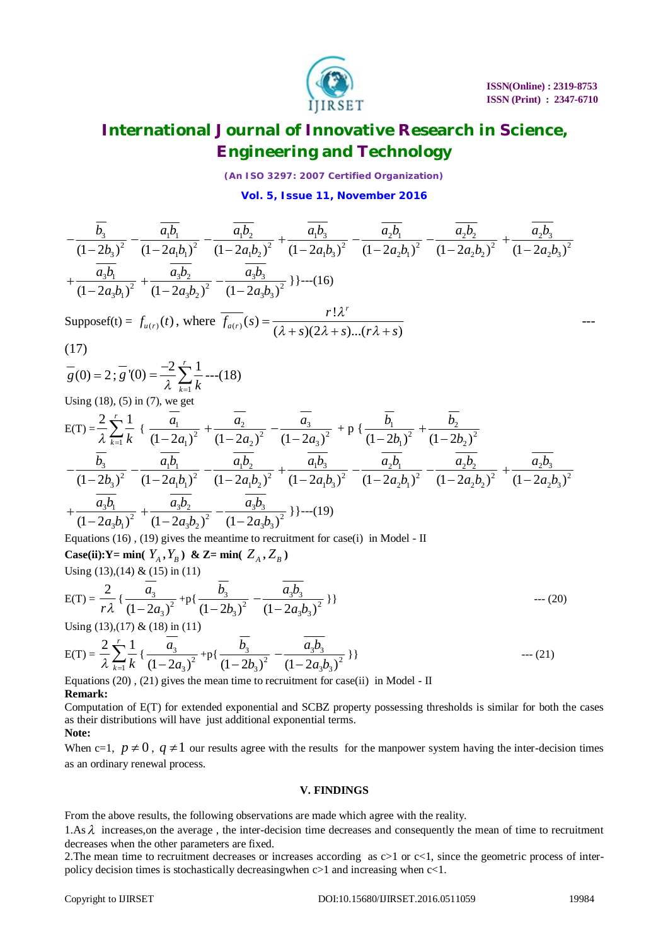

---

# **International Journal of Innovative Research in Science, Engineering and Technology**

*(An ISO 3297: 2007 Certified Organization)*

**Vol. 5, Issue 11, November 2016**

$$
-\frac{\overline{b_3}}{(1-2b_3)^2} - \frac{\overline{a_1b_1}}{(1-2a_1b_1)^2} - \frac{\overline{a_1b_2}}{(1-2a_1b_2)^2} + \frac{\overline{a_1b_3}}{(1-2a_1b_3)^2} - \frac{\overline{a_2b_1}}{(1-2a_2b_1)^2} - \frac{\overline{a_2b_2}}{(1-2a_2b_1)^2} + \frac{\overline{a_2b_3}}{(1-2a_2b_3)^2} + \frac{\overline{a_3b_3}}{(1-2a_3b_1)^2} + \frac{\overline{a_3b_2}}{(1-2a_3b_2)^2} - \frac{\overline{a_3b_3}}{(1-2a_3b_3)^2}
$$
 ]] --(16)  

$$
r! \lambda^r
$$

Supposef(t) = 
$$
f_{u(r)}(t)
$$
, where  $\overline{f_{a(r)}}(s) = \frac{r! \lambda^r}{(\lambda + s)(2\lambda + s)...(r\lambda + s)}$ 

$$
(17)
$$

$$
\overline{g}(0) = 2; \overline{g}'(0) = \frac{-2}{\lambda} \sum_{k=1}^{r} \frac{1}{k}
$$
---(18)

Using 
$$
(18)
$$
,  $(5)$  in  $(7)$ , we get

$$
E(T) = \frac{2}{\lambda} \sum_{k=1}^{r} \frac{1}{k} \left\{ \frac{\overline{a_1}}{(1-2a_1)^2} + \frac{\overline{a_2}}{(1-2a_2)^2} - \frac{\overline{a_3}}{(1-2a_3)^2} + p \left\{ \frac{\overline{b_1}}{(1-2b_1)^2} + \frac{\overline{b_2}}{(1-2b_2)^2} - \frac{\overline{b_3}}{(1-2b_3)^2} - \frac{\overline{a_1b_1}}{(1-2a_1b_1)^2} - \frac{\overline{a_1b_2}}{(1-2a_1b_2)^2} + \frac{\overline{a_1b_3}}{(1-2a_1b_3)^2} - \frac{\overline{a_2b_1}}{(1-2a_2b_1)^2} - \frac{\overline{a_2b_2}}{(1-2a_2b_1)^2} + \frac{\overline{a_2b_2}}{(1-2a_2b_3)^2} + \frac{\overline{a_3b_3}}{(1-2a_3b_1)^2} + \frac{\overline{a_3b_2}}{(1-2a_3b_1)^2} - \frac{\overline{a_3b_3}}{(1-2a_3b_3)^2} + \frac{\overline{a_3b_2}}{(1-2a_3b_1)^2} - \frac{\overline{a_3b_3}}{(1-2a_3b_3)^2} + \cdots (19)
$$

Equations  $(16)$ ,  $(19)$  gives the meantime to recruitment for case $(i)$  in Model - II **Case(ii):Y** = min(  $Y_A$ ,  $Y_B$ ) & Z= min(  $Z_A$ ,  $Z_B$ )

Using (13),(14) & (15) in (11)

$$
E(T) = \frac{2}{r\lambda} \left\{ \frac{a_3}{(1 - 2a_3)^2} + p\left\{ \frac{b_3}{(1 - 2b_3)^2} - \frac{a_3b_3}{(1 - 2a_3b_3)^2} \right\} \right\}
$$
--- (20)

Using (13), (17) & (18) in (11)

$$
E(T) = \frac{2}{\lambda} \sum_{k=1}^{r} \frac{1}{k} \left\{ \frac{\overline{a_3}}{(1 - 2a_3)^2} + p \left\{ \frac{\overline{b_3}}{(1 - 2b_3)^2} - \frac{\overline{a_3b_3}}{(1 - 2a_3b_3)^2} \right\} \right\}
$$
--- (21)

Equations  $(20)$ ,  $(21)$  gives the mean time to recruitment for case(ii) in Model - II **Remark:**

Computation of E(T) for extended exponential and SCBZ property possessing thresholds is similar for both the cases as their distributions will have just additional exponential terms. **Note:**

When c=1,  $p \neq 0$ ,  $q \neq 1$  our results agree with the results for the manpower system having the inter-decision times as an ordinary renewal process.

### **V. FINDINGS**

From the above results, the following observations are made which agree with the reality.

1.As  $\lambda$  increases, on the average, the inter-decision time decreases and consequently the mean of time to recruitment decreases when the other parameters are fixed.

2. The mean time to recruitment decreases or increases according as  $c>1$  or  $c<1$ , since the geometric process of interpolicy decision times is stochastically decreasingwhen c>1 and increasing when c<1.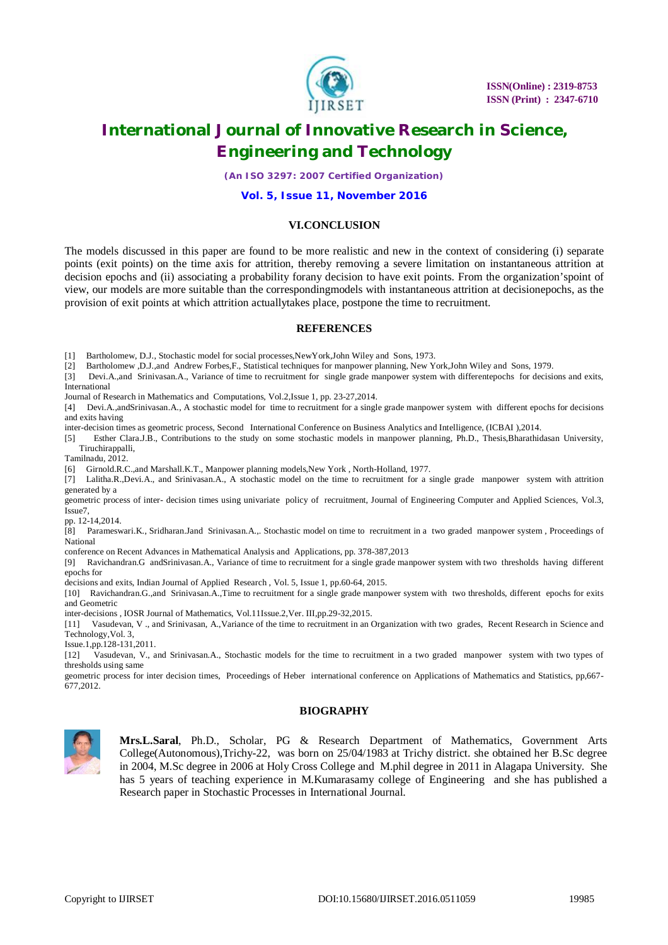

*(An ISO 3297: 2007 Certified Organization)*

#### **Vol. 5, Issue 11, November 2016**

#### **VI.CONCLUSION**

The models discussed in this paper are found to be more realistic and new in the context of considering (i) separate points (exit points) on the time axis for attrition, thereby removing a severe limitation on instantaneous attrition at decision epochs and (ii) associating a probability forany decision to have exit points. From the organization'spoint of view, our models are more suitable than the correspondingmodels with instantaneous attrition at decisionepochs, as the provision of exit points at which attrition actuallytakes place, postpone the time to recruitment.

#### **REFERENCES**

[1] Bartholomew, D.J., Stochastic model for social processes,NewYork,John Wiley and Sons, 1973.

[2] Bartholomew ,D.J.,and Andrew Forbes,F., Statistical techniques for manpower planning, New York,John Wiley and Sons, 1979.

[3] Devi.A., and Srinivasan.A., Variance of time to recruitment for single grade manpower system with differentepochs for decisions and exits, International

Journal of Research in Mathematics and Computations, Vol.2,Issue 1, pp. 23-27,2014.

[4] Devi.A.,andSrinivasan.A., A stochastic model for time to recruitment for a single grade manpower system with different epochs for decisions and exits having

inter-decision times as geometric process, Second International Conference on Business Analytics and Intelligence, (ICBAI ),2014.

[5] Esther Clara.J.B., Contributions to the study on some stochastic models in manpower planning, Ph.D., Thesis,Bharathidasan University, Tiruchirappalli,

Tamilnadu, 2012.

[6] Girnold.R.C.,and Marshall.K.T., Manpower planning models,New York , North-Holland, 1977.

[7] Lalitha.R.,Devi.A., and Srinivasan.A., A stochastic model on the time to recruitment for a single grade manpower system with attrition generated by a

geometric process of inter- decision times using univariate policy of recruitment, Journal of Engineering Computer and Applied Sciences, Vol.3, Issue7,

pp. 12-14,2014.

[8] Parameswari.K., Sridharan.Jand Srinivasan.A.,. Stochastic model on time to recruitment in a two graded manpower system , Proceedings of National

conference on Recent Advances in Mathematical Analysis and Applications, pp. 378-387,2013

[9] Ravichandran.G andSrinivasan.A., Variance of time to recruitment for a single grade manpower system with two thresholds having different epochs for

decisions and exits, Indian Journal of Applied Research , Vol. 5, Issue 1, pp.60-64, 2015.

[10] Ravichandran.G.,and Srinivasan.A.,Time to recruitment for a single grade manpower system with two thresholds, different epochs for exits and Geometric

inter-decisions , IOSR Journal of Mathematics, Vol.11Issue.2,Ver. III,pp.29-32,2015.

[11] Vasudevan, V ., and Srinivasan, A.,Variance of the time to recruitment in an Organization with two grades, Recent Research in Science and Technology,Vol. 3,

Issue.1,pp.128-131,2011.

[12] Vasudevan, V., and Srinivasan.A., Stochastic models for the time to recruitment in a two graded manpower system with two types of thresholds using same

geometric process for inter decision times, Proceedings of Heber international conference on Applications of Mathematics and Statistics, pp,667- 677,2012.

### **BIOGRAPHY**



**Mrs.L.Saral**, Ph.D., Scholar, PG & Research Department of Mathematics, Government Arts College(Autonomous),Trichy-22, was born on 25/04/1983 at Trichy district. she obtained her B.Sc degree in 2004, M.Sc degree in 2006 at Holy Cross College and M.phil degree in 2011 in Alagapa University. She has 5 years of teaching experience in M.Kumarasamy college of Engineering and she has published a Research paper in Stochastic Processes in International Journal.